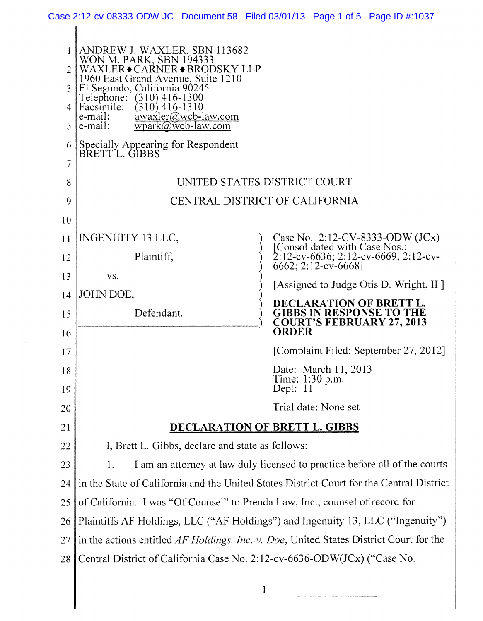|                                                      | Case 2:12-cv-08333-ODW-JC Document 58 Filed 03/01/13 Page 1 of 5 Page ID #:1037                                                                                                                                                                                                                                                                                                    |  |                             |                                                                                                |                                                                                                             |
|------------------------------------------------------|------------------------------------------------------------------------------------------------------------------------------------------------------------------------------------------------------------------------------------------------------------------------------------------------------------------------------------------------------------------------------------|--|-----------------------------|------------------------------------------------------------------------------------------------|-------------------------------------------------------------------------------------------------------------|
| $\overline{2}$<br>3<br>4<br>5<br>6<br>$\overline{7}$ | ANDREW J. WAXLER, SBN 113682<br>WON M. PARK, SBN 194333<br>WAXLER◆CARNER◆BRODSKY LLP<br>1960 East Grand Avenue, Suite 1210<br>El Segundo, California 90245<br>Telephone: (310) 416-1300<br>Facsimile:<br>$(310)$ 416-1310<br>$\frac{\text{awaxler}(a) \text{wcb-law.com}}{a}$<br>e-mail:<br>$wpark@wcb-law.com$<br>e-mail:<br>Specially Appearing for Respondent<br>BRETT L. GIBBS |  |                             |                                                                                                |                                                                                                             |
| 8                                                    | UNITED STATES DISTRICT COURT                                                                                                                                                                                                                                                                                                                                                       |  |                             |                                                                                                |                                                                                                             |
| 9                                                    | CENTRAL DISTRICT OF CALIFORNIA                                                                                                                                                                                                                                                                                                                                                     |  |                             |                                                                                                |                                                                                                             |
| 10                                                   |                                                                                                                                                                                                                                                                                                                                                                                    |  |                             |                                                                                                |                                                                                                             |
| 11                                                   | INGENUITY 13 LLC,                                                                                                                                                                                                                                                                                                                                                                  |  |                             |                                                                                                |                                                                                                             |
| 12                                                   | Plaintiff,                                                                                                                                                                                                                                                                                                                                                                         |  | 6662; 2:12-cv-6668]         |                                                                                                | Case No. 2:12-CV-8333-ODW (JCx)<br>[Consolidated with Case Nos.:<br>$2:12$ -cv-6636; 2:12-cv-6669; 2:12-cv- |
| 13                                                   | VS.                                                                                                                                                                                                                                                                                                                                                                                |  |                             |                                                                                                |                                                                                                             |
| 14                                                   | JOHN DOE,                                                                                                                                                                                                                                                                                                                                                                          |  |                             |                                                                                                | [Assigned to Judge Otis D. Wright, II]                                                                      |
| 15<br>16                                             | Defendant.                                                                                                                                                                                                                                                                                                                                                                         |  | <b>ORDER</b>                | DECLARATION OF BRETT L.<br><b>GIBBS IN RESPONSE TO THE</b><br><b>COURT'S FEBRUARY 27, 2013</b> |                                                                                                             |
| 17                                                   |                                                                                                                                                                                                                                                                                                                                                                                    |  |                             |                                                                                                | [Complaint Filed: September 27, 2012]                                                                       |
| 18                                                   |                                                                                                                                                                                                                                                                                                                                                                                    |  |                             | Date: March 11, 2013                                                                           |                                                                                                             |
| 19                                                   |                                                                                                                                                                                                                                                                                                                                                                                    |  | Time: 1:30 p.m.<br>Dept: 11 |                                                                                                |                                                                                                             |
| 20                                                   |                                                                                                                                                                                                                                                                                                                                                                                    |  |                             | Trial date: None set                                                                           |                                                                                                             |
| 21                                                   | DECLARATION OF BRETT L. GIBBS                                                                                                                                                                                                                                                                                                                                                      |  |                             |                                                                                                |                                                                                                             |
| 22                                                   | I, Brett L. Gibbs, declare and state as follows:                                                                                                                                                                                                                                                                                                                                   |  |                             |                                                                                                |                                                                                                             |
| 23                                                   | I am an attorney at law duly licensed to practice before all of the courts<br>1.                                                                                                                                                                                                                                                                                                   |  |                             |                                                                                                |                                                                                                             |
| 24                                                   | in the State of California and the United States District Court for the Central District                                                                                                                                                                                                                                                                                           |  |                             |                                                                                                |                                                                                                             |
| 25                                                   | of California. I was "Of Counsel" to Prenda Law, Inc., counsel of record for                                                                                                                                                                                                                                                                                                       |  |                             |                                                                                                |                                                                                                             |
| 26                                                   | Plaintiffs AF Holdings, LLC ("AF Holdings") and Ingenuity 13, LLC ("Ingenuity")                                                                                                                                                                                                                                                                                                    |  |                             |                                                                                                |                                                                                                             |
| 27                                                   | in the actions entitled AF Holdings, Inc. v. Doe, United States District Court for the                                                                                                                                                                                                                                                                                             |  |                             |                                                                                                |                                                                                                             |
| 28                                                   | Central District of California Case No. 2:12-cv-6636-ODW(JCx) ("Case No.                                                                                                                                                                                                                                                                                                           |  |                             |                                                                                                |                                                                                                             |
|                                                      |                                                                                                                                                                                                                                                                                                                                                                                    |  |                             |                                                                                                |                                                                                                             |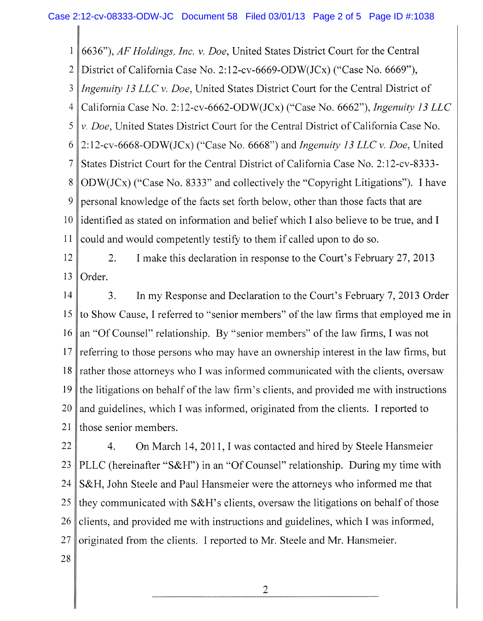1 6636"), *AF Holdings, Inc. v. Doe,* United States District Court for the Central

2 District of California Case No. 2:12-cv-6669-ODW(JCx) ("Case No. 6669"),

3 *Ingenuity 13 LLC v. Doe,* United States District Court for the Central District of

4 California Case No. 2:12-cv-6662-ODW(JCx) ("Case No. 6662"), *Ingenuity 13 LLC* 

5 *v. Doe,* United States District Court for the Central District of California Case No.

6 2:12-cv-6668-ODW(JCx) ("Case No. 6668") and *Ingenuity 13 LLC v. Doe,* United

7 States District Court for the Central District of California Case No. 2:12-cv-8333-

8 9 10 11 ODW(JCx) ("Case No. 8333" and collectively the "Copyright Litigations"). I have personal knowledge of the facts set forth below, other than those facts that are identified as stated on information and belief which I also believe to be true, and I could and would competently testify to them if called upon to do so.

12 13 2. I make this declaration in response to the Court's February 27, 2013 Order.

14 15 16 17 18 19 20 21 3. In my Response and Declaration to the Court's February 7, 2013 Order to Show Cause, I referred to "senior members" of the law firms that employed me in an "Of Counsel" relationship. By "senior members" of the law firms, I was not referring to those persons who may have an ownership interest in the law firms, but rather those attorneys who I was informed communicated with the clients, oversaw the litigations on behalf of the law firm's clients, and provided me with instructions and guidelines, which I was informed, originated from the clients. I reported to those senior members.

22 23 24 25 26 27 28 4. On March 14, 2011,1 was contacted and hired by Steele **Hansmeier**  PLLC (hereinafter "S&H") in an "Of Counsel" relationship. During my time with S&H, John Steele and Paul Hansmeier were the attorneys who informed me that they communicated with S&H's clients, oversaw the litigations on behalf of those clients, and provided me with instructions and guidelines, which I was informed, originated from the clients. I reported to Mr. Steele and Mr. Hansmeier.

2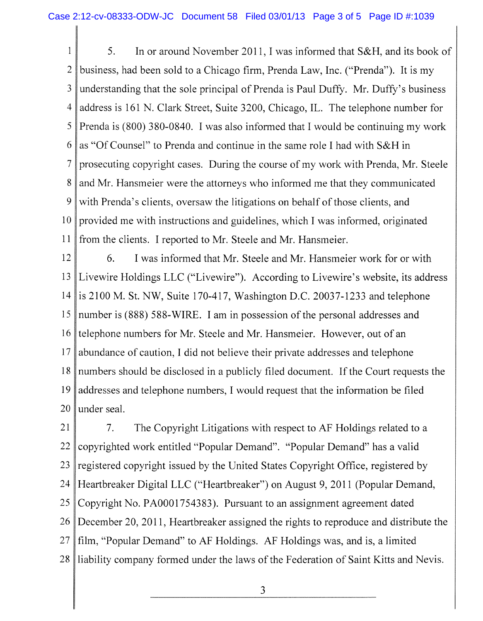1 2 3 4 5 6 7 8 9 10 11 5. In or around November 2011, I was informed that S&H, and its book of business, had been sold to a Chicago firm, Prenda Law, Inc. ("Prenda"). It is my understanding that the sole principal of Prenda is Paul Duffy. Mr. Duffy's business address is 161 N. Clark Street, Suite 3200, Chicago, IL. The telephone number for Prenda is (800) 380-0840. I was also informed that I would be continuing my work as "Of Counsel" to Prenda and continue in the same role I had with S&H in prosecuting copyright cases. During the course of my work with Prenda, Mr. Steele and Mr. Hansmeier were the attorneys who informed me that they communicated with Prenda's clients, oversaw the litigations on behalf of those clients, and provided me with instructions and guidelines, which I was informed, originated from the clients. I reported to Mr. Steele and Mr. Hansmeier.

12 13 14 15 16 17 18 19 20 6. I was informed that Mr. Steele and Mr. Hansmeier work for or with Livewire Holdings LLC ("Livewire"). According to Livewire's website, its address is 2100 M. St. NW, Suite 170-417, Washington D.C. 20037-1233 and telephone number is (888) 588-WIRE. I am in possession of the personal addresses and telephone numbers for Mr. Steele and Mr. Hansmeier. However, out of an abundance of caution, I did not believe their private addresses and telephone numbers should be disclosed in a publicly filed document. If the Court requests the addresses and telephone numbers, I would request that the information be filed under seal.

21 22 23 24 25 26 27 28 7. The Copyright Litigations with respect to AF Holdings related to a copyrighted work entitled "Popular Demand". "Popular Demand" has a valid registered copyright issued by the United States Copyright Office, registered by Heartbreaker Digital LLC ("Heartbreaker") on August 9, 2011 (Popular Demand, Copyright No. PA0001754383). Pursuant to an assignment agreement dated December 20, 2011, Heartbreaker assigned the rights to reproduce and distribute the film, "Popular Demand" to AF Holdings. AF Holdings was, and is, a limited liability company formed under the laws of the Federation of Saint Kitts and Nevis.

3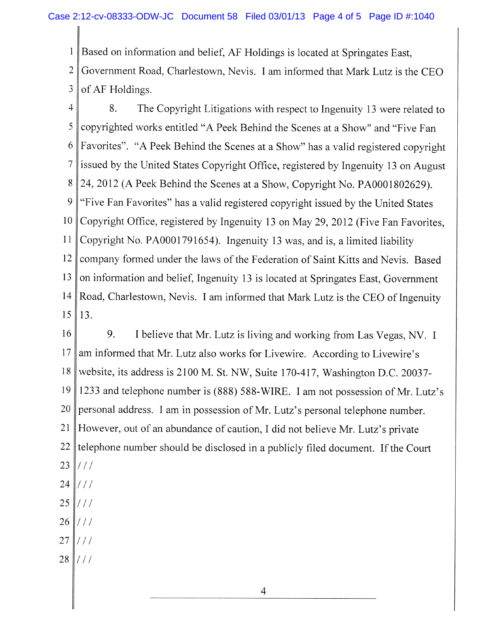1 2 3 Based on information and belief, AF Holdings is located at Springates East, Government Road, Charlestown, Nevis. I am informed that Mark Lutz is the CEO of AF Holdings.

4 5 6 7 8 9 10 (1 12 13 14 15 8. The Copyright Litigations with respect to Ingenuity 13 were related to copyrighted works entitled " A Peek Behind the Scenes at a Show" and "Five Fan Favorites". "A Peek Behind the Scenes at a Show" has a valid registered copyright issued by the United States Copyright Office, registered by Ingenuity 13 on August 24, 2012 (A Peek Behind the Scenes at a Show, Copyright No. PA0001802629). "Five Fan Favorites" has a valid registered copyright issued by the United States Copyright Office, registered by Ingenuity 13 on May 29, 2012 (Five Fan Favorites, Copyright No. PA0001791654). Ingenuity 13 was, and is, a limited liability company formed under the laws of the Federation of Saint Kitts and Nevis. Based on information and belief, Ingenuity 13 is located at Springates East, Government Road, Charlestown, Nevis. I am informed that Mark Lutz is the CEO of Ingenuity 13.

16 17 8 19 20 21 22 23 24 9. I believe that Mr. Lutz is living and working from Las Vegas, NV. I am informed that Mr. Lutz also works for Livewire. According to Livewire's website, its address is 2100 M. St. NW, Suite 170-417, Washington D.C. 20037-1233 and telephone number is (888) 588-WIRE. I am not possession of Mr. Lutz's personal address. I am in possession of Mr. Lutz's personal telephone number. However, out of an abundance of caution, I did not believe Mr. Lutz's private telephone number should be disclosed in a publicly filed document. If the Court / / / / / /

- 25 / / /
- 26 / / /
- 27 / / /
- 28  $\frac{1}{1}$